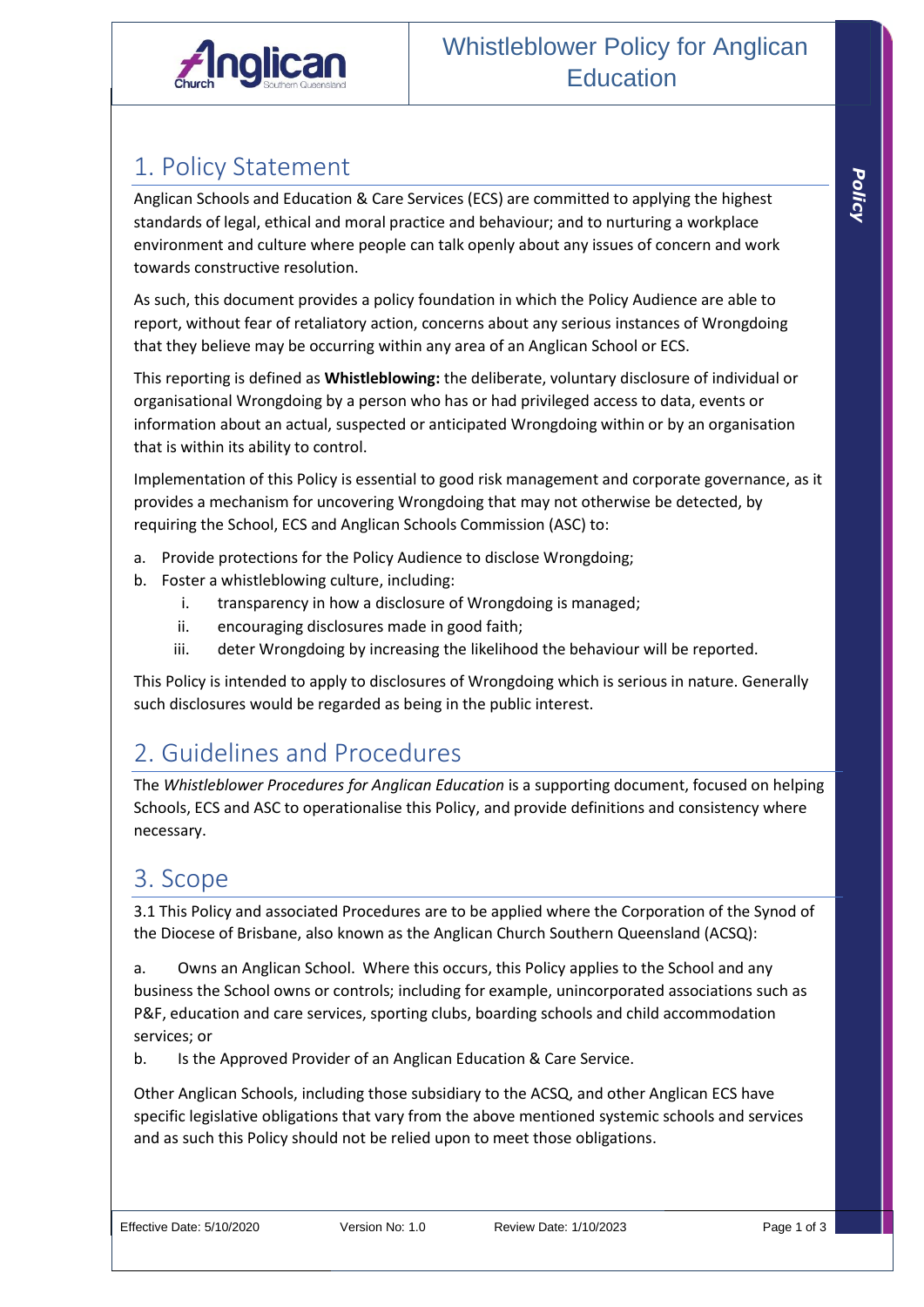

## 1. Policy Statement

Anglican Schools and Education & Care Services (ECS) are committed to applying the highest standards of legal, ethical and moral practice and behaviour; and to nurturing a workplace environment and culture where people can talk openly about any issues of concern and work towards constructive resolution.

As such, this document provides a policy foundation in which the Policy Audience are able to report, without fear of retaliatory action, concerns about any serious instances of Wrongdoing that they believe may be occurring within any area of an Anglican School or ECS.

This reporting is defined as **Whistleblowing:** the deliberate, voluntary disclosure of individual or organisational Wrongdoing by a person who has or had privileged access to data, events or information about an actual, suspected or anticipated Wrongdoing within or by an organisation that is within its ability to control.

Implementation of this Policy is essential to good risk management and corporate governance, as it provides a mechanism for uncovering Wrongdoing that may not otherwise be detected, by requiring the School, ECS and Anglican Schools Commission (ASC) to:

- a. Provide protections for the Policy Audience to disclose Wrongdoing;
- b. Foster a whistleblowing culture, including:
	- i. transparency in how a disclosure of Wrongdoing is managed;
	- ii. encouraging disclosures made in good faith;
	- iii. deter Wrongdoing by increasing the likelihood the behaviour will be reported.

This Policy is intended to apply to disclosures of Wrongdoing which is serious in nature. Generally such disclosures would be regarded as being in the public interest.

## 2. Guidelines and Procedures

The *Whistleblower Procedures for Anglican Education* is a supporting document, focused on helping Schools, ECS and ASC to operationalise this Policy, and provide definitions and consistency where necessary.

## 3. Scope

3.1 This Policy and associated Procedures are to be applied where the Corporation of the Synod of the Diocese of Brisbane, also known as the Anglican Church Southern Queensland (ACSQ):

a. Owns an Anglican School. Where this occurs, this Policy applies to the School and any business the School owns or controls; including for example, unincorporated associations such as P&F, education and care services, sporting clubs, boarding schools and child accommodation services; or

b. Is the Approved Provider of an Anglican Education & Care Service.

Other Anglican Schools, including those subsidiary to the ACSQ, and other Anglican ECS have specific legislative obligations that vary from the above mentioned systemic schools and services and as such this Policy should not be relied upon to meet those obligations.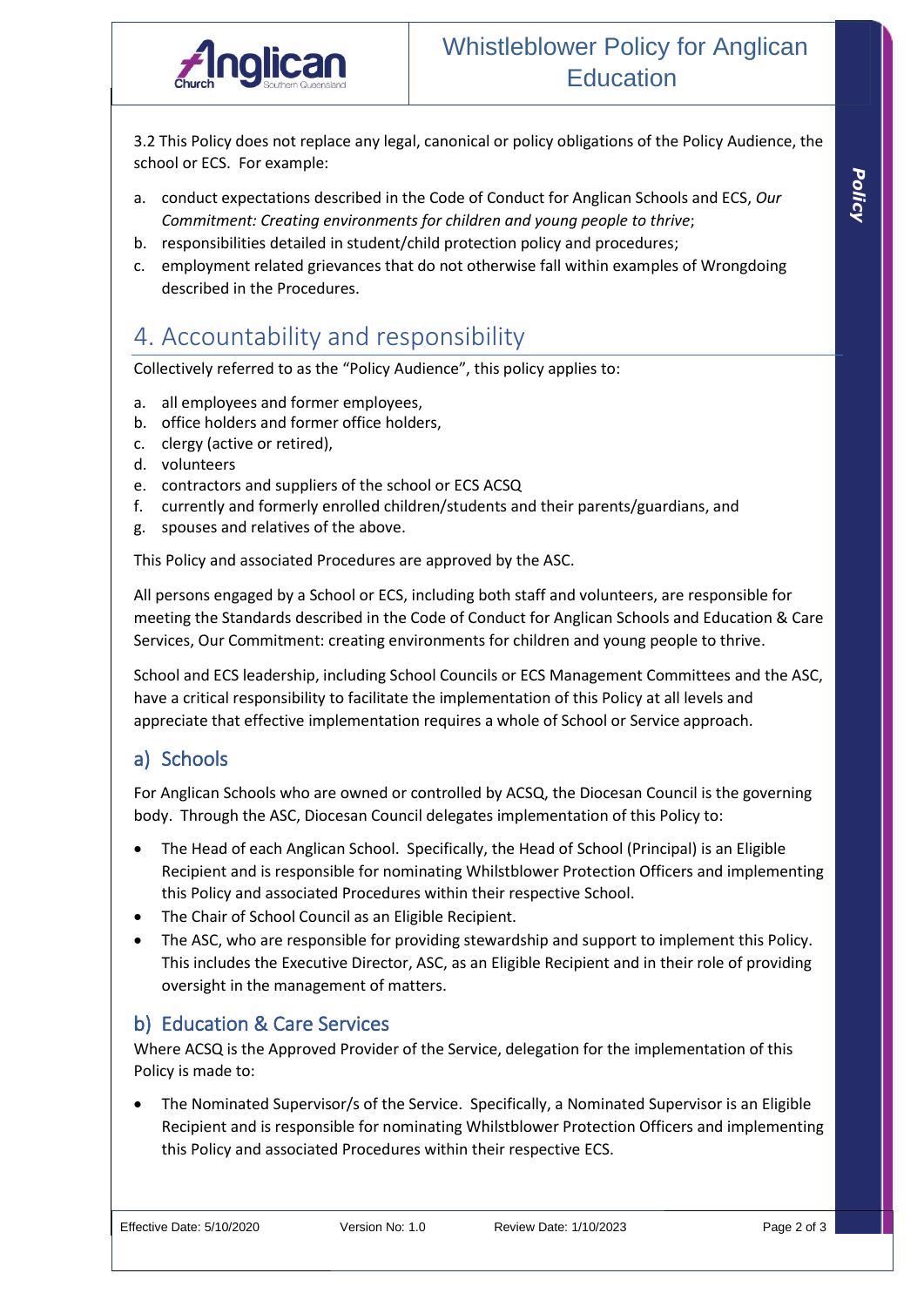

3.2 This Policy does not replace any legal, canonical or policy obligations of the Policy Audience, the school or ECS. For example:

- a. conduct expectations described in the Code of Conduct for Anglican Schools and ECS, *Our Commitment: Creating environments for children and young people to thrive*;
- b. responsibilities detailed in student/child protection policy and procedures;
- c. employment related grievances that do not otherwise fall within examples of Wrongdoing described in the Procedures.

## 4. Accountability and responsibility

Collectively referred to as the "Policy Audience", this policy applies to:

- a. all employees and former employees,
- b. office holders and former office holders,
- c. clergy (active or retired),
- d. volunteers
- e. contractors and suppliers of the school or ECS ACSQ
- f. currently and formerly enrolled children/students and their parents/guardians, and
- g. spouses and relatives of the above.

This Policy and associated Procedures are approved by the ASC.

All persons engaged by a School or ECS, including both staff and volunteers, are responsible for meeting the Standards described in the Code of Conduct for Anglican Schools and Education & Care Services, Our Commitment: creating environments for children and young people to thrive.

School and ECS leadership, including School Councils or ECS Management Committees and the ASC, have a critical responsibility to facilitate the implementation of this Policy at all levels and appreciate that effective implementation requires a whole of School or Service approach.

#### a) Schools

For Anglican Schools who are owned or controlled by ACSQ, the Diocesan Council is the governing body. Through the ASC, Diocesan Council delegates implementation of this Policy to:

- The Head of each Anglican School. Specifically, the Head of School (Principal) is an Eligible Recipient and is responsible for nominating Whilstblower Protection Officers and implementing this Policy and associated Procedures within their respective School.
- The Chair of School Council as an Eligible Recipient.
- The ASC, who are responsible for providing stewardship and support to implement this Policy. This includes the Executive Director, ASC, as an Eligible Recipient and in their role of providing oversight in the management of matters.

#### b) Education & Care Services

Where ACSQ is the Approved Provider of the Service, delegation for the implementation of this Policy is made to:

• The Nominated Supervisor/s of the Service. Specifically, a Nominated Supervisor is an Eligible Recipient and is responsible for nominating Whilstblower Protection Officers and implementing this Policy and associated Procedures within their respective ECS.